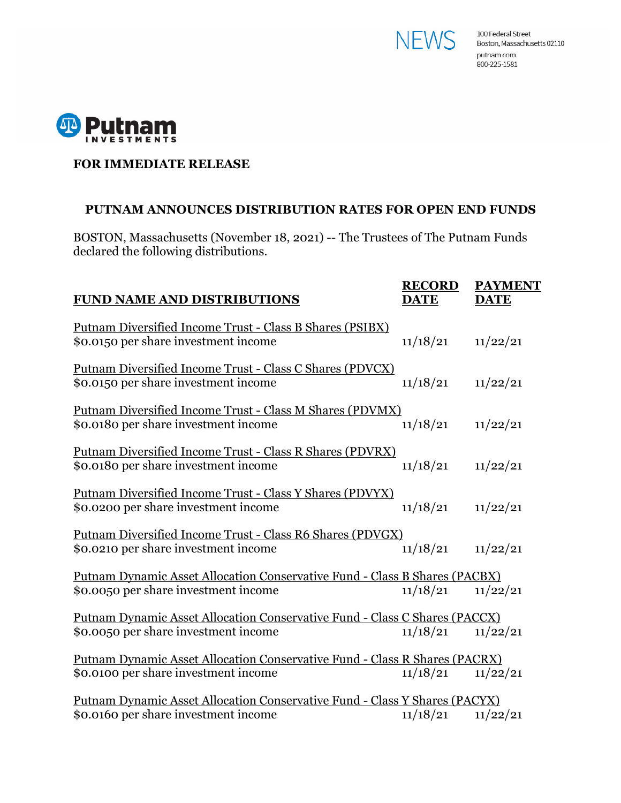



## **FOR IMMEDIATE RELEASE**

## **PUTNAM ANNOUNCES DISTRIBUTION RATES FOR OPEN END FUNDS**

BOSTON, Massachusetts (November 18, 2021) -- The Trustees of The Putnam Funds declared the following distributions.

| <b>FUND NAME AND DISTRIBUTIONS</b>                                                                                 | <b>RECORD</b><br><b>DATE</b> | <b>PAYMENT</b><br><b>DATE</b> |
|--------------------------------------------------------------------------------------------------------------------|------------------------------|-------------------------------|
| <u> Putnam Diversified Income Trust - Class B Shares (PSIBX)</u><br>\$0.0150 per share investment income           | 11/18/21                     | 11/22/21                      |
| <u> Putnam Diversified Income Trust - Class C Shares (PDVCX)</u><br>\$0.0150 per share investment income           | 11/18/21                     | 11/22/21                      |
| <u> Putnam Diversified Income Trust - Class M Shares (PDVMX)</u><br>\$0.0180 per share investment income           | 11/18/21                     | 11/22/21                      |
| Putnam Diversified Income Trust - Class R Shares (PDVRX)<br>\$0.0180 per share investment income                   | 11/18/21                     | 11/22/21                      |
| Putnam Diversified Income Trust - Class Y Shares (PDVYX)<br>\$0.0200 per share investment income                   | 11/18/21                     | 11/22/21                      |
| Putnam Diversified Income Trust - Class R6 Shares (PDVGX)<br>\$0.0210 per share investment income                  | 11/18/21                     | 11/22/21                      |
| Putnam Dynamic Asset Allocation Conservative Fund - Class B Shares (PACBX)<br>\$0.0050 per share investment income | 11/18/21                     | 11/22/21                      |
| Putnam Dynamic Asset Allocation Conservative Fund - Class C Shares (PACCX)<br>\$0.0050 per share investment income | 11/18/21                     | 11/22/21                      |
| Putnam Dynamic Asset Allocation Conservative Fund - Class R Shares (PACRX)<br>\$0.0100 per share investment income | 11/18/21                     | 11/22/21                      |
| Putnam Dynamic Asset Allocation Conservative Fund - Class Y Shares (PACYX)<br>\$0.0160 per share investment income | 11/18/21                     | 11/22/21                      |
|                                                                                                                    |                              |                               |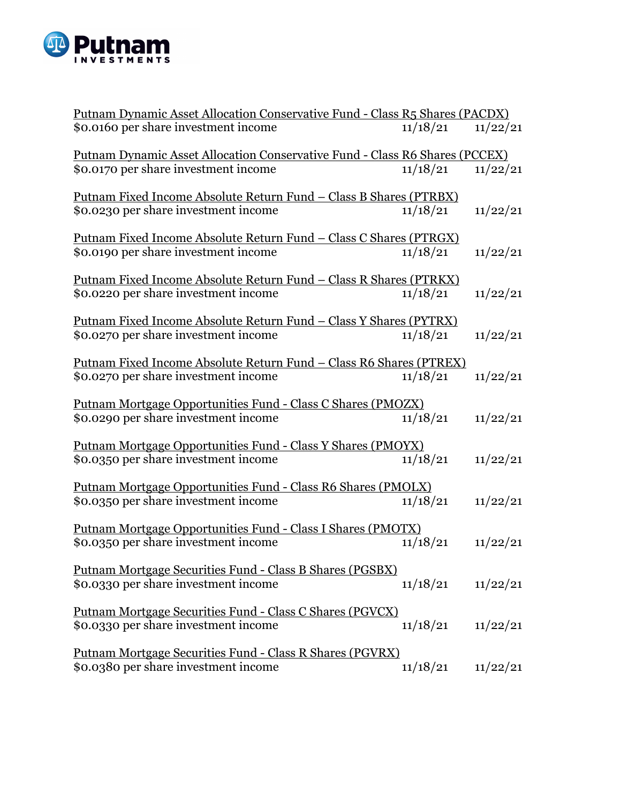

| Putnam Dynamic Asset Allocation Conservative Fund - Class R5 Shares (PACDX) |          |          |  |
|-----------------------------------------------------------------------------|----------|----------|--|
| \$0.0160 per share investment income                                        | 11/18/21 | 11/22/21 |  |
| Putnam Dynamic Asset Allocation Conservative Fund - Class R6 Shares (PCCEX) |          |          |  |
| \$0.0170 per share investment income                                        | 11/18/21 | 11/22/21 |  |
| <u> Putnam Fixed Income Absolute Return Fund – Class B Shares (PTRBX)</u>   |          |          |  |
| \$0.0230 per share investment income                                        | 11/18/21 | 11/22/21 |  |
| <u> Putnam Fixed Income Absolute Return Fund – Class C Shares (PTRGX)</u>   |          |          |  |
| \$0.0190 per share investment income                                        | 11/18/21 | 11/22/21 |  |
| <u> Putnam Fixed Income Absolute Return Fund - Class R Shares (PTRKX)</u>   |          |          |  |
| \$0.0220 per share investment income                                        | 11/18/21 | 11/22/21 |  |
| <u> Putnam Fixed Income Absolute Return Fund – Class Y Shares (PYTRX)</u>   |          |          |  |
| \$0.0270 per share investment income                                        | 11/18/21 | 11/22/21 |  |
| <u> Putnam Fixed Income Absolute Return Fund - Class R6 Shares (PTREX)</u>  |          |          |  |
| \$0.0270 per share investment income                                        | 11/18/21 | 11/22/21 |  |
| <u> Putnam Mortgage Opportunities Fund - Class C Shares (PMOZX)</u>         |          |          |  |
| \$0.0290 per share investment income                                        | 11/18/21 | 11/22/21 |  |
| <u> Putnam Mortgage Opportunities Fund - Class Y Shares (PMOYX)</u>         |          |          |  |
| \$0.0350 per share investment income                                        | 11/18/21 | 11/22/21 |  |
| Putnam Mortgage Opportunities Fund - Class R6 Shares (PMOLX)                |          |          |  |
| \$0.0350 per share investment income                                        | 11/18/21 | 11/22/21 |  |
| Putnam Mortgage Opportunities Fund - Class I Shares (PMOTX)                 |          |          |  |
| \$0.0350 per share investment income                                        | 11/18/21 | 11/22/21 |  |
| <u> Putnam Mortgage Securities Fund - Class B Shares (PGSBX)</u>            |          |          |  |
| \$0.0330 per share investment income                                        | 11/18/21 | 11/22/21 |  |
| <u> Putnam Mortgage Securities Fund - Class C Shares (PGVCX)</u>            |          |          |  |
| \$0.0330 per share investment income                                        | 11/18/21 | 11/22/21 |  |
| <u> Putnam Mortgage Securities Fund - Class R Shares (PGVRX)</u>            |          |          |  |
| \$0.0380 per share investment income                                        | 11/18/21 | 11/22/21 |  |